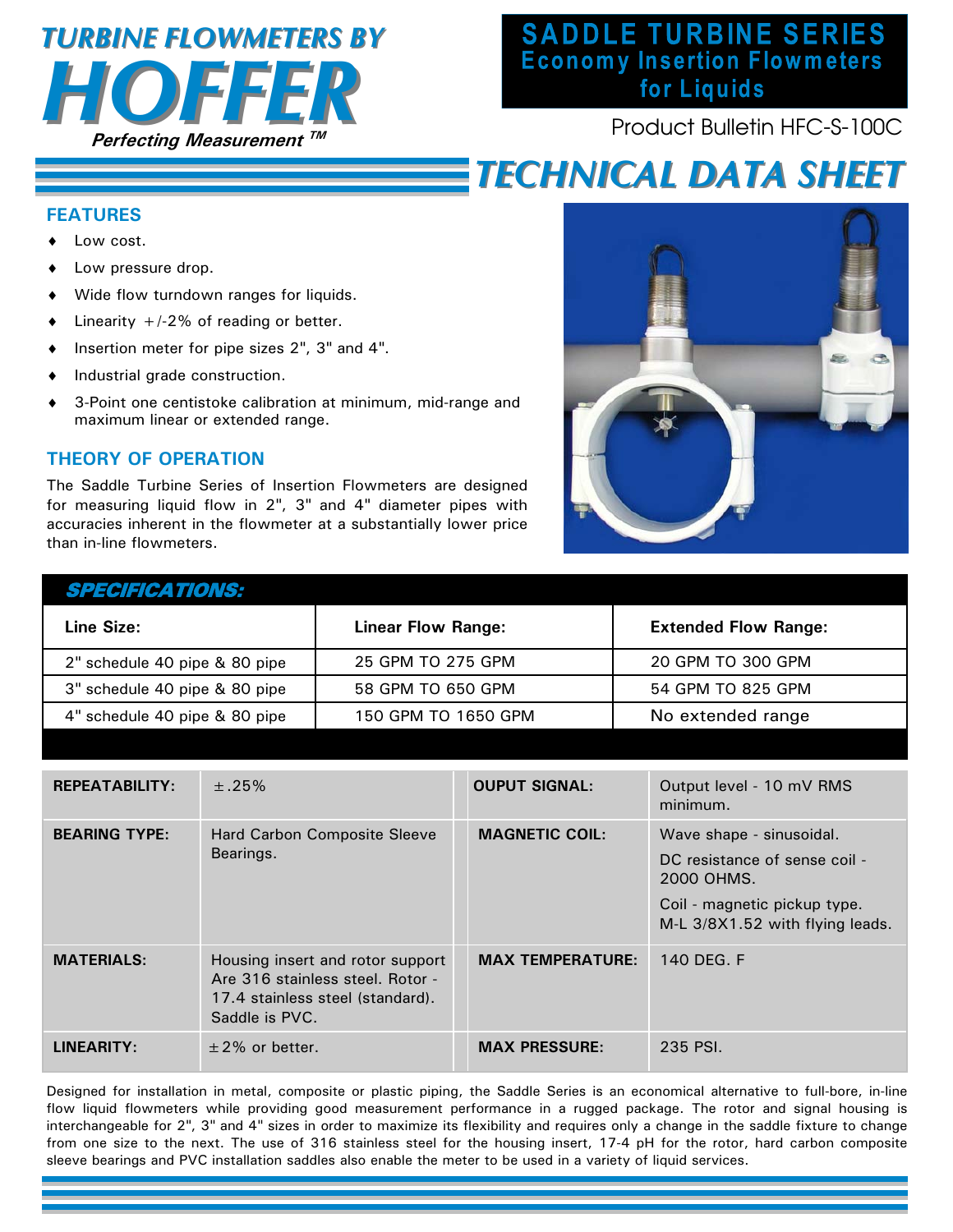# **Perfecting Measurement TM**  *HOFFER TURBINE FLOWMETERS BY TURBINE FLOWMETERS BY*

## **SADDLE TURBINE SERIES**<br>Economy Insertion Flowmeters for Liquids

Product Bulletin HFC-S-100C

### *TECHNICAL DATA SHEET TECHNICAL DATA SHEET*

### **FEATURES**

- Low cost.
- Low pressure drop.
- Wide flow turndown ranges for liquids.
- $\bullet$  Linearity +/-2% of reading or better.
- Insertion meter for pipe sizes 2", 3" and 4".
- $\bullet$  Industrial grade construction.
- 3-Point one centistoke calibration at minimum, mid-range and maximum linear or extended range.

#### **THEORY OF OPERATION**

The Saddle Turbine Series of Insertion Flowmeters are designed for measuring liquid flow in 2", 3" and 4" diameter pipes with accuracies inherent in the flowmeter at a substantially lower price than in-line flowmeters.



| <i>SPECIFICATIONS:</i>        |                           |                             |
|-------------------------------|---------------------------|-----------------------------|
| Line Size:                    | <b>Linear Flow Range:</b> | <b>Extended Flow Range:</b> |
| 2" schedule 40 pipe & 80 pipe | 25 GPM TO 275 GPM         | 20 GPM TO 300 GPM           |
| 3" schedule 40 pipe & 80 pipe | 58 GPM TO 650 GPM         | 54 GPM TO 825 GPM           |
| 4" schedule 40 pipe & 80 pipe | 150 GPM TO 1650 GPM       | No extended range           |

| <b>REPEATABILITY:</b> | ±.25%                                                                                                                      | <b>OUPUT SIGNAL:</b>    | Output level - 10 mV RMS<br>minimum.                                                                                                       |
|-----------------------|----------------------------------------------------------------------------------------------------------------------------|-------------------------|--------------------------------------------------------------------------------------------------------------------------------------------|
| <b>BEARING TYPE:</b>  | <b>Hard Carbon Composite Sleeve</b><br>Bearings.                                                                           | <b>MAGNETIC COIL:</b>   | Wave shape - sinusoidal.<br>DC resistance of sense coil -<br>2000 OHMS.<br>Coil - magnetic pickup type.<br>M-L 3/8X1.52 with flying leads. |
| <b>MATERIALS:</b>     | Housing insert and rotor support<br>Are 316 stainless steel. Rotor -<br>17.4 stainless steel (standard).<br>Saddle is PVC. | <b>MAX TEMPERATURE:</b> | 140 DEG. F                                                                                                                                 |
| LINEARITY:            | $\pm$ 2% or better.                                                                                                        | <b>MAX PRESSURE:</b>    | 235 PSI.                                                                                                                                   |

Designed for installation in metal, composite or plastic piping, the Saddle Series is an economical alternative to full-bore, in-line flow liquid flowmeters while providing good measurement performance in a rugged package. The rotor and signal housing is interchangeable for 2", 3" and 4" sizes in order to maximize its flexibility and requires only a change in the saddle fixture to change from one size to the next. The use of 316 stainless steel for the housing insert, 17-4 pH for the rotor, hard carbon composite sleeve bearings and PVC installation saddles also enable the meter to be used in a variety of liquid services.